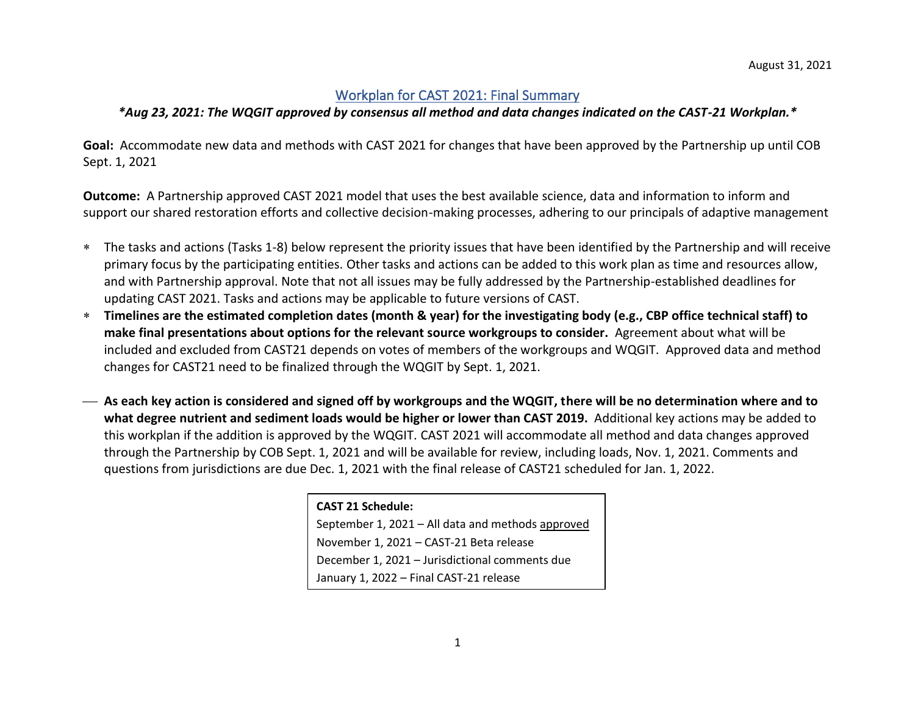## Workplan for CAST 2021: Final Summary

## *\*Aug 23, 2021: The WQGIT approved by consensus all method and data changes indicated on the CAST-21 Workplan.\**

**Goal:** Accommodate new data and methods with CAST 2021 for changes that have been approved by the Partnership up until COB Sept. 1, 2021

**Outcome:** A Partnership approved CAST 2021 model that uses the best available science, data and information to inform and support our shared restoration efforts and collective decision-making processes, adhering to our principals of adaptive management

- The tasks and actions (Tasks 1-8) below represent the priority issues that have been identified by the Partnership and will receive primary focus by the participating entities. Other tasks and actions can be added to this work plan as time and resources allow, and with Partnership approval. Note that not all issues may be fully addressed by the Partnership-established deadlines for updating CAST 2021. Tasks and actions may be applicable to future versions of CAST.
- **Timelines are the estimated completion dates (month & year) for the investigating body (e.g., CBP office technical staff) to make final presentations about options for the relevant source workgroups to consider.** Agreement about what will be included and excluded from CAST21 depends on votes of members of the workgroups and WQGIT. Approved data and method changes for CAST21 need to be finalized through the WQGIT by Sept. 1, 2021.
- ⎯ **As each key action is considered and signed off by workgroups and the WQGIT, there will be no determination where and to what degree nutrient and sediment loads would be higher or lower than CAST 2019.** Additional key actions may be added to this workplan if the addition is approved by the WQGIT. CAST 2021 will accommodate all method and data changes approved through the Partnership by COB Sept. 1, 2021 and will be available for review, including loads, Nov. 1, 2021. Comments and questions from jurisdictions are due Dec. 1, 2021 with the final release of CAST21 scheduled for Jan. 1, 2022.

| <b>CAST 21 Schedule:</b>                          |
|---------------------------------------------------|
| September 1, 2021 - All data and methods approved |
| November 1, 2021 - CAST-21 Beta release           |
| December 1, 2021 - Jurisdictional comments due    |
| January 1, 2022 - Final CAST-21 release           |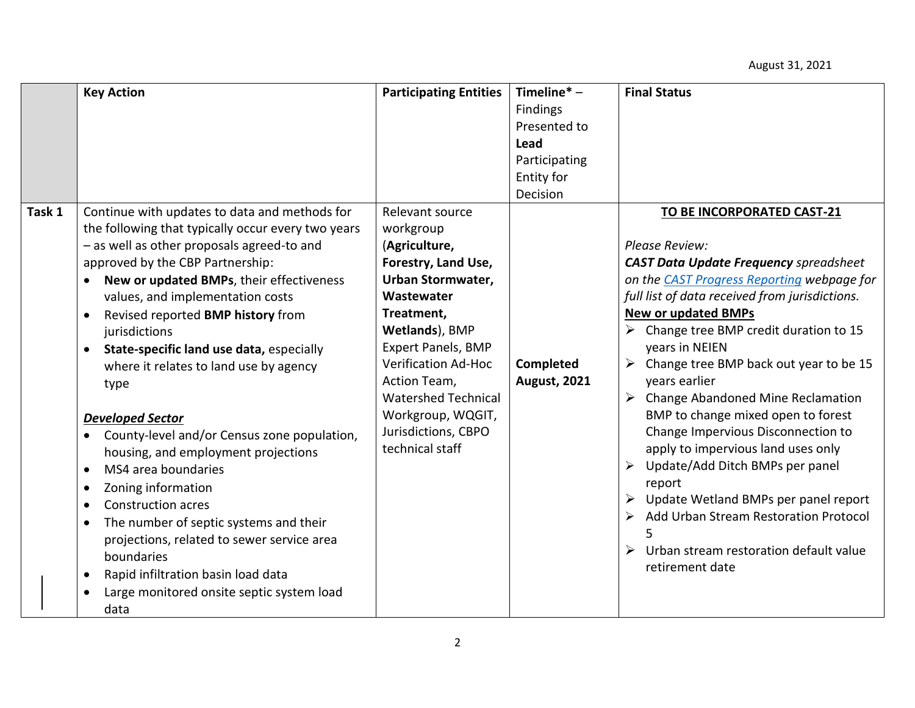|        | <b>Key Action</b>                                     | <b>Participating Entities</b> | Timeline $* -$      | <b>Final Status</b>                            |
|--------|-------------------------------------------------------|-------------------------------|---------------------|------------------------------------------------|
|        |                                                       |                               | Findings            |                                                |
|        |                                                       |                               | Presented to        |                                                |
|        |                                                       |                               | Lead                |                                                |
|        |                                                       |                               | Participating       |                                                |
|        |                                                       |                               | Entity for          |                                                |
|        |                                                       |                               | Decision            |                                                |
| Task 1 | Continue with updates to data and methods for         | Relevant source               |                     | TO BE INCORPORATED CAST-21                     |
|        | the following that typically occur every two years    | workgroup                     |                     |                                                |
|        | - as well as other proposals agreed-to and            | (Agriculture,                 |                     | Please Review:                                 |
|        | approved by the CBP Partnership:                      | Forestry, Land Use,           |                     | <b>CAST Data Update Frequency spreadsheet</b>  |
|        | New or updated BMPs, their effectiveness              | <b>Urban Stormwater,</b>      |                     | on the CAST Progress Reporting webpage for     |
|        | values, and implementation costs                      | Wastewater                    |                     | full list of data received from jurisdictions. |
|        | Revised reported BMP history from<br>$\bullet$        | Treatment,                    |                     | <b>New or updated BMPs</b>                     |
|        | jurisdictions                                         | Wetlands), BMP                |                     | Change tree BMP credit duration to 15          |
|        | State-specific land use data, especially<br>$\bullet$ | <b>Expert Panels, BMP</b>     |                     | years in NEIEN                                 |
|        | where it relates to land use by agency                | <b>Verification Ad-Hoc</b>    | <b>Completed</b>    | Change tree BMP back out year to be 15<br>➤    |
|        | type                                                  | Action Team,                  | <b>August, 2021</b> | years earlier                                  |
|        |                                                       | <b>Watershed Technical</b>    |                     | <b>Change Abandoned Mine Reclamation</b>       |
|        | <b>Developed Sector</b>                               | Workgroup, WQGIT,             |                     | BMP to change mixed open to forest             |
|        | County-level and/or Census zone population,           | Jurisdictions, CBPO           |                     | Change Impervious Disconnection to             |
|        | housing, and employment projections                   | technical staff               |                     | apply to impervious land uses only             |
|        | MS4 area boundaries<br>$\bullet$                      |                               |                     | Update/Add Ditch BMPs per panel<br>➤           |
|        | Zoning information<br>٠                               |                               |                     | report                                         |
|        | <b>Construction acres</b><br>$\bullet$                |                               |                     | Update Wetland BMPs per panel report           |
|        | The number of septic systems and their<br>$\bullet$   |                               |                     | Add Urban Stream Restoration Protocol<br>➤     |
|        | projections, related to sewer service area            |                               |                     |                                                |
|        | boundaries                                            |                               |                     | Urban stream restoration default value<br>≻    |
|        | Rapid infiltration basin load data<br>$\bullet$       |                               |                     | retirement date                                |
|        |                                                       |                               |                     |                                                |
|        | Large monitored onsite septic system load             |                               |                     |                                                |
|        | data                                                  |                               |                     |                                                |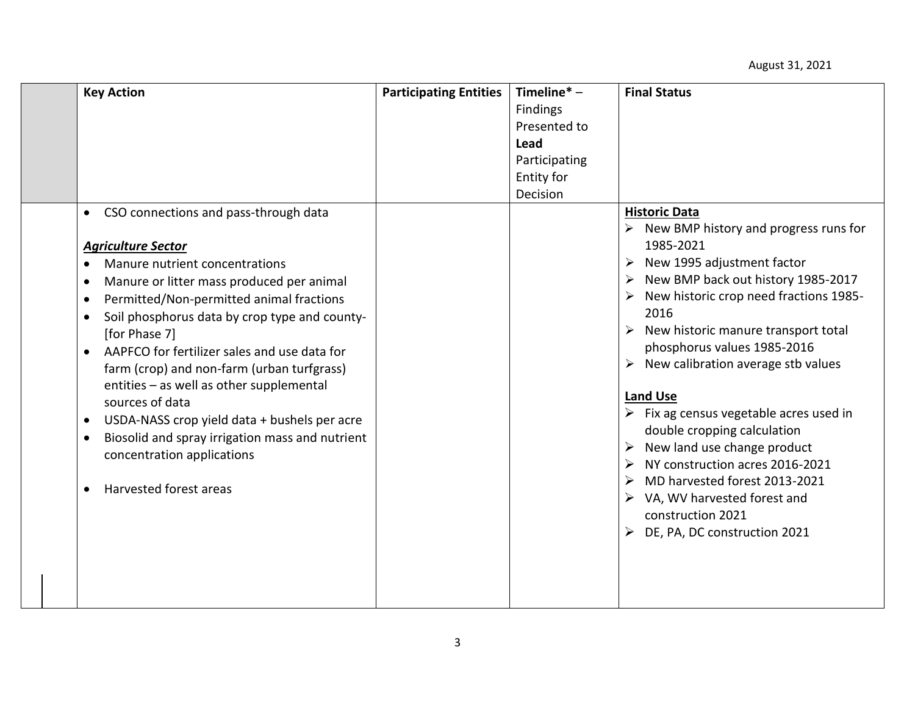| <b>Key Action</b>                                                                                                                                                                                                                                                                                                                                                                                                                                                                                                                                                                       | <b>Participating Entities</b> | Timeline $* -$<br><b>Findings</b><br>Presented to<br>Lead<br>Participating<br>Entity for<br>Decision | <b>Final Status</b>                                                                                                                                                                                                                                                                                                                                                                                                                                                                                                                                                                                                              |
|-----------------------------------------------------------------------------------------------------------------------------------------------------------------------------------------------------------------------------------------------------------------------------------------------------------------------------------------------------------------------------------------------------------------------------------------------------------------------------------------------------------------------------------------------------------------------------------------|-------------------------------|------------------------------------------------------------------------------------------------------|----------------------------------------------------------------------------------------------------------------------------------------------------------------------------------------------------------------------------------------------------------------------------------------------------------------------------------------------------------------------------------------------------------------------------------------------------------------------------------------------------------------------------------------------------------------------------------------------------------------------------------|
| CSO connections and pass-through data<br><b>Agriculture Sector</b><br>Manure nutrient concentrations<br>Manure or litter mass produced per animal<br>Permitted/Non-permitted animal fractions<br>Soil phosphorus data by crop type and county-<br>[for Phase 7]<br>AAPFCO for fertilizer sales and use data for<br>farm (crop) and non-farm (urban turfgrass)<br>entities - as well as other supplemental<br>sources of data<br>USDA-NASS crop yield data + bushels per acre<br>Biosolid and spray irrigation mass and nutrient<br>concentration applications<br>Harvested forest areas |                               |                                                                                                      | <b>Historic Data</b><br>$\triangleright$ New BMP history and progress runs for<br>1985-2021<br>New 1995 adjustment factor<br>New BMP back out history 1985-2017<br>New historic crop need fractions 1985-<br>2016<br>New historic manure transport total<br>phosphorus values 1985-2016<br>New calibration average stb values<br><b>Land Use</b><br>$\triangleright$ Fix ag census vegetable acres used in<br>double cropping calculation<br>New land use change product<br>NY construction acres 2016-2021<br>MD harvested forest 2013-2021<br>VA, WV harvested forest and<br>construction 2021<br>DE, PA, DC construction 2021 |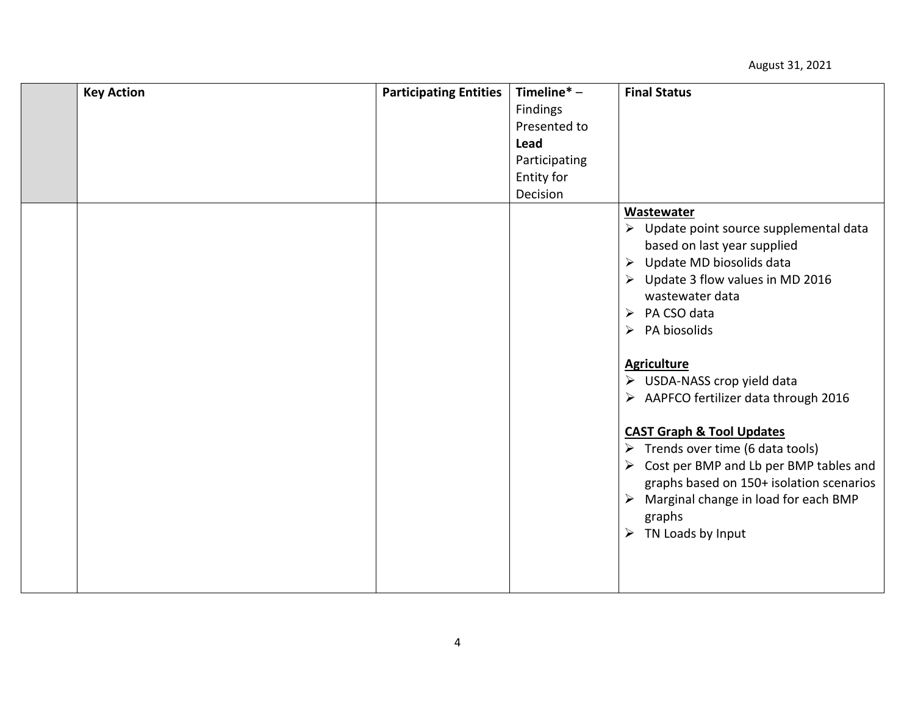| <b>Key Action</b> | <b>Participating Entities</b> | Timeline $* -$ | <b>Final Status</b>                                                                                                                                                                                                                                                                                                                               |
|-------------------|-------------------------------|----------------|---------------------------------------------------------------------------------------------------------------------------------------------------------------------------------------------------------------------------------------------------------------------------------------------------------------------------------------------------|
|                   |                               | Findings       |                                                                                                                                                                                                                                                                                                                                                   |
|                   |                               | Presented to   |                                                                                                                                                                                                                                                                                                                                                   |
|                   |                               | Lead           |                                                                                                                                                                                                                                                                                                                                                   |
|                   |                               | Participating  |                                                                                                                                                                                                                                                                                                                                                   |
|                   |                               | Entity for     |                                                                                                                                                                                                                                                                                                                                                   |
|                   |                               | Decision       |                                                                                                                                                                                                                                                                                                                                                   |
|                   |                               |                | Wastewater                                                                                                                                                                                                                                                                                                                                        |
|                   |                               |                | > Update point source supplemental data<br>based on last year supplied<br>Update MD biosolids data<br>$\blacktriangleright$<br>Update 3 flow values in MD 2016<br>➤<br>wastewater data<br>PA CSO data<br>➤<br>PA biosolids<br>$\blacktriangleright$<br><b>Agriculture</b><br>> USDA-NASS crop yield data<br>> AAPFCO fertilizer data through 2016 |
|                   |                               |                | <b>CAST Graph &amp; Tool Updates</b><br>$\triangleright$ Trends over time (6 data tools)<br>Cost per BMP and Lb per BMP tables and<br>$\blacktriangleright$<br>graphs based on 150+ isolation scenarios                                                                                                                                           |
|                   |                               |                | Marginal change in load for each BMP<br>$\blacktriangleright$<br>graphs<br>TN Loads by Input<br>➤                                                                                                                                                                                                                                                 |
|                   |                               |                |                                                                                                                                                                                                                                                                                                                                                   |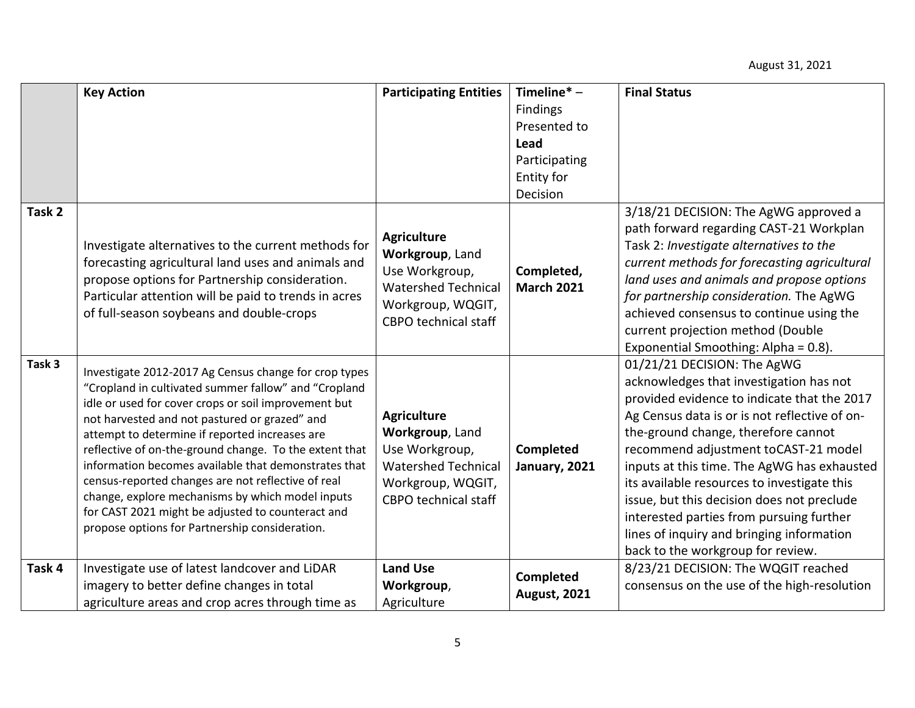|        | <b>Key Action</b>                                                                                                                                                                                                                                                                                                                                                                                                                                                                                                                                                                                           | <b>Participating Entities</b>                                                                                                             | Timeline $*$ –                   | <b>Final Status</b>                                                                                                                                                                                                                                                                                                                                                                                                                                                                                                             |
|--------|-------------------------------------------------------------------------------------------------------------------------------------------------------------------------------------------------------------------------------------------------------------------------------------------------------------------------------------------------------------------------------------------------------------------------------------------------------------------------------------------------------------------------------------------------------------------------------------------------------------|-------------------------------------------------------------------------------------------------------------------------------------------|----------------------------------|---------------------------------------------------------------------------------------------------------------------------------------------------------------------------------------------------------------------------------------------------------------------------------------------------------------------------------------------------------------------------------------------------------------------------------------------------------------------------------------------------------------------------------|
|        |                                                                                                                                                                                                                                                                                                                                                                                                                                                                                                                                                                                                             |                                                                                                                                           | Findings                         |                                                                                                                                                                                                                                                                                                                                                                                                                                                                                                                                 |
|        |                                                                                                                                                                                                                                                                                                                                                                                                                                                                                                                                                                                                             |                                                                                                                                           | Presented to                     |                                                                                                                                                                                                                                                                                                                                                                                                                                                                                                                                 |
|        |                                                                                                                                                                                                                                                                                                                                                                                                                                                                                                                                                                                                             |                                                                                                                                           | Lead                             |                                                                                                                                                                                                                                                                                                                                                                                                                                                                                                                                 |
|        |                                                                                                                                                                                                                                                                                                                                                                                                                                                                                                                                                                                                             |                                                                                                                                           | Participating                    |                                                                                                                                                                                                                                                                                                                                                                                                                                                                                                                                 |
|        |                                                                                                                                                                                                                                                                                                                                                                                                                                                                                                                                                                                                             |                                                                                                                                           | Entity for                       |                                                                                                                                                                                                                                                                                                                                                                                                                                                                                                                                 |
|        |                                                                                                                                                                                                                                                                                                                                                                                                                                                                                                                                                                                                             |                                                                                                                                           | Decision                         |                                                                                                                                                                                                                                                                                                                                                                                                                                                                                                                                 |
| Task 2 | Investigate alternatives to the current methods for<br>forecasting agricultural land uses and animals and<br>propose options for Partnership consideration.<br>Particular attention will be paid to trends in acres<br>of full-season soybeans and double-crops                                                                                                                                                                                                                                                                                                                                             | <b>Agriculture</b><br>Workgroup, Land<br>Use Workgroup,<br><b>Watershed Technical</b><br>Workgroup, WQGIT,<br><b>CBPO</b> technical staff | Completed,<br><b>March 2021</b>  | 3/18/21 DECISION: The AgWG approved a<br>path forward regarding CAST-21 Workplan<br>Task 2: Investigate alternatives to the<br>current methods for forecasting agricultural<br>land uses and animals and propose options<br>for partnership consideration. The AgWG<br>achieved consensus to continue using the<br>current projection method (Double<br>Exponential Smoothing: Alpha = 0.8).                                                                                                                                    |
| Task 3 | Investigate 2012-2017 Ag Census change for crop types<br>"Cropland in cultivated summer fallow" and "Cropland<br>idle or used for cover crops or soil improvement but<br>not harvested and not pastured or grazed" and<br>attempt to determine if reported increases are<br>reflective of on-the-ground change. To the extent that<br>information becomes available that demonstrates that<br>census-reported changes are not reflective of real<br>change, explore mechanisms by which model inputs<br>for CAST 2021 might be adjusted to counteract and<br>propose options for Partnership consideration. | <b>Agriculture</b><br>Workgroup, Land<br>Use Workgroup,<br><b>Watershed Technical</b><br>Workgroup, WQGIT,<br><b>CBPO</b> technical staff | Completed<br>January, 2021       | 01/21/21 DECISION: The AgWG<br>acknowledges that investigation has not<br>provided evidence to indicate that the 2017<br>Ag Census data is or is not reflective of on-<br>the-ground change, therefore cannot<br>recommend adjustment toCAST-21 model<br>inputs at this time. The AgWG has exhausted<br>its available resources to investigate this<br>issue, but this decision does not preclude<br>interested parties from pursuing further<br>lines of inquiry and bringing information<br>back to the workgroup for review. |
| Task 4 | Investigate use of latest landcover and LiDAR<br>imagery to better define changes in total<br>agriculture areas and crop acres through time as                                                                                                                                                                                                                                                                                                                                                                                                                                                              | <b>Land Use</b><br>Workgroup,<br>Agriculture                                                                                              | Completed<br><b>August, 2021</b> | 8/23/21 DECISION: The WQGIT reached<br>consensus on the use of the high-resolution                                                                                                                                                                                                                                                                                                                                                                                                                                              |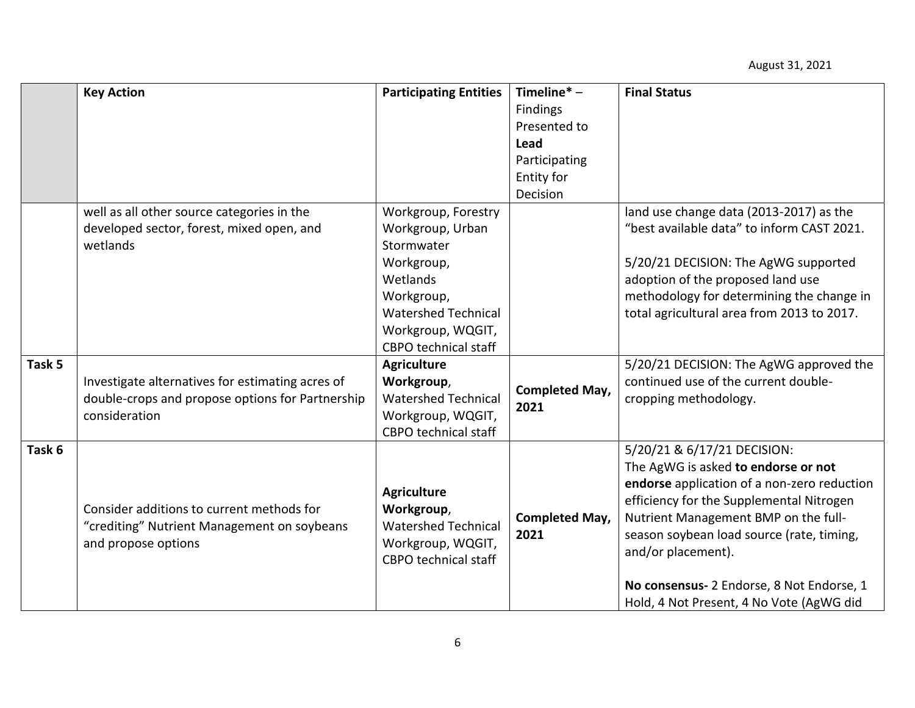|        | <b>Key Action</b>                                | <b>Participating Entities</b> | Timeline $* -$        | <b>Final Status</b>                         |
|--------|--------------------------------------------------|-------------------------------|-----------------------|---------------------------------------------|
|        |                                                  |                               | <b>Findings</b>       |                                             |
|        |                                                  |                               | Presented to          |                                             |
|        |                                                  |                               | <b>Lead</b>           |                                             |
|        |                                                  |                               | Participating         |                                             |
|        |                                                  |                               | Entity for            |                                             |
|        |                                                  |                               | Decision              |                                             |
|        | well as all other source categories in the       | Workgroup, Forestry           |                       | land use change data (2013-2017) as the     |
|        | developed sector, forest, mixed open, and        | Workgroup, Urban              |                       | "best available data" to inform CAST 2021.  |
|        | wetlands                                         | Stormwater                    |                       |                                             |
|        |                                                  | Workgroup,                    |                       | 5/20/21 DECISION: The AgWG supported        |
|        |                                                  | Wetlands                      |                       | adoption of the proposed land use           |
|        |                                                  | Workgroup,                    |                       | methodology for determining the change in   |
|        |                                                  | <b>Watershed Technical</b>    |                       | total agricultural area from 2013 to 2017.  |
|        |                                                  | Workgroup, WQGIT,             |                       |                                             |
|        |                                                  | <b>CBPO</b> technical staff   |                       |                                             |
| Task 5 |                                                  | <b>Agriculture</b>            |                       | 5/20/21 DECISION: The AgWG approved the     |
|        | Investigate alternatives for estimating acres of | Workgroup,                    |                       | continued use of the current double-        |
|        | double-crops and propose options for Partnership | <b>Watershed Technical</b>    | <b>Completed May,</b> | cropping methodology.                       |
|        | consideration                                    | Workgroup, WQGIT,             | 2021                  |                                             |
|        |                                                  | <b>CBPO</b> technical staff   |                       |                                             |
| Task 6 |                                                  |                               |                       | 5/20/21 & 6/17/21 DECISION:                 |
|        |                                                  |                               |                       | The AgWG is asked to endorse or not         |
|        |                                                  |                               |                       | endorse application of a non-zero reduction |
|        |                                                  | <b>Agriculture</b>            |                       | efficiency for the Supplemental Nitrogen    |
|        | Consider additions to current methods for        | Workgroup,                    | <b>Completed May,</b> | Nutrient Management BMP on the full-        |
|        | "crediting" Nutrient Management on soybeans      | <b>Watershed Technical</b>    | 2021                  | season soybean load source (rate, timing,   |
|        | and propose options                              | Workgroup, WQGIT,             |                       | and/or placement).                          |
|        |                                                  | <b>CBPO</b> technical staff   |                       |                                             |
|        |                                                  |                               |                       | No consensus- 2 Endorse, 8 Not Endorse, 1   |
|        |                                                  |                               |                       | Hold, 4 Not Present, 4 No Vote (AgWG did    |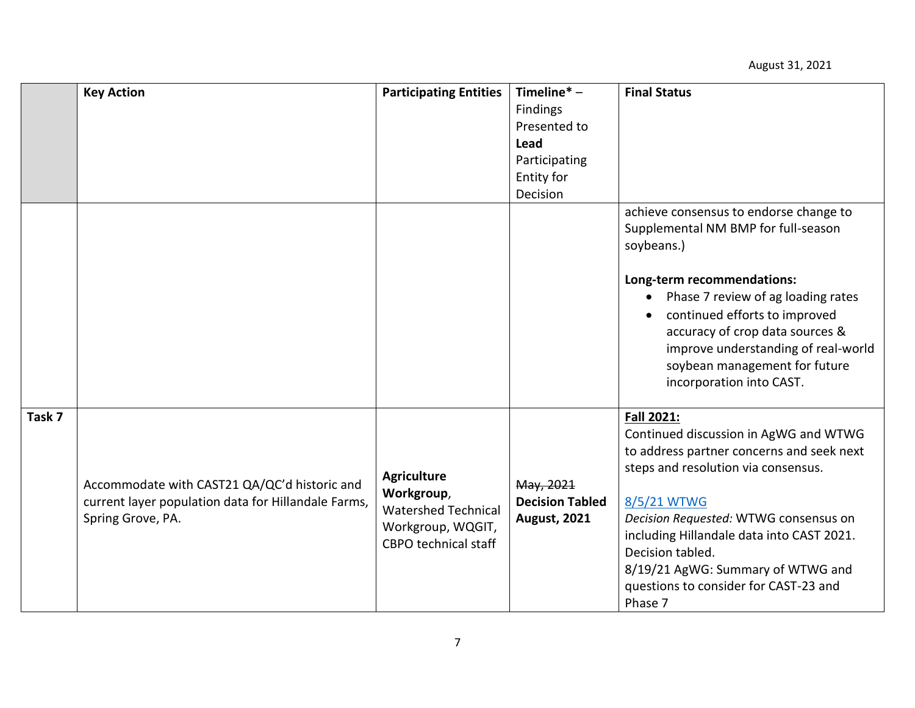|        | <b>Key Action</b>                                                                                                        | <b>Participating Entities</b>                                                                                      | Timeline $* -$                                             | <b>Final Status</b>                                                                                                                                                                                                                                                                                                                                       |
|--------|--------------------------------------------------------------------------------------------------------------------------|--------------------------------------------------------------------------------------------------------------------|------------------------------------------------------------|-----------------------------------------------------------------------------------------------------------------------------------------------------------------------------------------------------------------------------------------------------------------------------------------------------------------------------------------------------------|
|        |                                                                                                                          |                                                                                                                    | <b>Findings</b>                                            |                                                                                                                                                                                                                                                                                                                                                           |
|        |                                                                                                                          |                                                                                                                    | Presented to                                               |                                                                                                                                                                                                                                                                                                                                                           |
|        |                                                                                                                          |                                                                                                                    | Lead                                                       |                                                                                                                                                                                                                                                                                                                                                           |
|        |                                                                                                                          |                                                                                                                    | Participating                                              |                                                                                                                                                                                                                                                                                                                                                           |
|        |                                                                                                                          |                                                                                                                    | Entity for                                                 |                                                                                                                                                                                                                                                                                                                                                           |
|        |                                                                                                                          |                                                                                                                    | Decision                                                   |                                                                                                                                                                                                                                                                                                                                                           |
|        |                                                                                                                          |                                                                                                                    |                                                            | achieve consensus to endorse change to<br>Supplemental NM BMP for full-season<br>soybeans.)<br>Long-term recommendations:<br>Phase 7 review of ag loading rates<br>continued efforts to improved<br>accuracy of crop data sources &<br>improve understanding of real-world<br>soybean management for future<br>incorporation into CAST.                   |
| Task 7 | Accommodate with CAST21 QA/QC'd historic and<br>current layer population data for Hillandale Farms,<br>Spring Grove, PA. | <b>Agriculture</b><br>Workgroup,<br><b>Watershed Technical</b><br>Workgroup, WQGIT,<br><b>CBPO</b> technical staff | May, 2021<br><b>Decision Tabled</b><br><b>August, 2021</b> | Fall 2021:<br>Continued discussion in AgWG and WTWG<br>to address partner concerns and seek next<br>steps and resolution via consensus.<br>8/5/21 WTWG<br>Decision Requested: WTWG consensus on<br>including Hillandale data into CAST 2021.<br>Decision tabled.<br>8/19/21 AgWG: Summary of WTWG and<br>questions to consider for CAST-23 and<br>Phase 7 |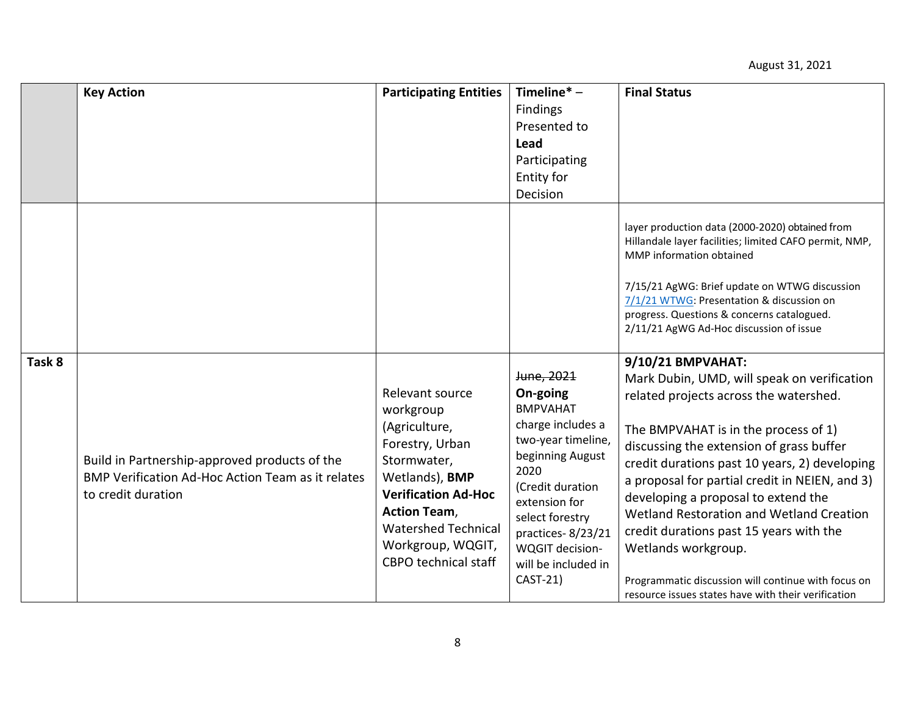|        | <b>Key Action</b>                                                                                                               | <b>Participating Entities</b>                                                                                                                                                                            | Timeline $*$ –                                                                                                                                                                                         | <b>Final Status</b>                                                                                                                                                                                                                                                                                                                                                                                                                                    |
|--------|---------------------------------------------------------------------------------------------------------------------------------|----------------------------------------------------------------------------------------------------------------------------------------------------------------------------------------------------------|--------------------------------------------------------------------------------------------------------------------------------------------------------------------------------------------------------|--------------------------------------------------------------------------------------------------------------------------------------------------------------------------------------------------------------------------------------------------------------------------------------------------------------------------------------------------------------------------------------------------------------------------------------------------------|
|        |                                                                                                                                 |                                                                                                                                                                                                          | <b>Findings</b>                                                                                                                                                                                        |                                                                                                                                                                                                                                                                                                                                                                                                                                                        |
|        |                                                                                                                                 |                                                                                                                                                                                                          | Presented to                                                                                                                                                                                           |                                                                                                                                                                                                                                                                                                                                                                                                                                                        |
|        |                                                                                                                                 |                                                                                                                                                                                                          | Lead                                                                                                                                                                                                   |                                                                                                                                                                                                                                                                                                                                                                                                                                                        |
|        |                                                                                                                                 |                                                                                                                                                                                                          | Participating                                                                                                                                                                                          |                                                                                                                                                                                                                                                                                                                                                                                                                                                        |
|        |                                                                                                                                 |                                                                                                                                                                                                          | <b>Entity for</b>                                                                                                                                                                                      |                                                                                                                                                                                                                                                                                                                                                                                                                                                        |
|        |                                                                                                                                 |                                                                                                                                                                                                          | Decision                                                                                                                                                                                               |                                                                                                                                                                                                                                                                                                                                                                                                                                                        |
|        |                                                                                                                                 |                                                                                                                                                                                                          |                                                                                                                                                                                                        | layer production data (2000-2020) obtained from<br>Hillandale layer facilities; limited CAFO permit, NMP,<br>MMP information obtained<br>7/15/21 AgWG: Brief update on WTWG discussion<br>7/1/21 WTWG: Presentation & discussion on<br>progress. Questions & concerns catalogued.<br>2/11/21 AgWG Ad-Hoc discussion of issue                                                                                                                           |
| Task 8 |                                                                                                                                 |                                                                                                                                                                                                          |                                                                                                                                                                                                        | 9/10/21 BMPVAHAT:                                                                                                                                                                                                                                                                                                                                                                                                                                      |
|        |                                                                                                                                 |                                                                                                                                                                                                          | June, 2021                                                                                                                                                                                             | Mark Dubin, UMD, will speak on verification                                                                                                                                                                                                                                                                                                                                                                                                            |
|        |                                                                                                                                 | Relevant source                                                                                                                                                                                          | On-going                                                                                                                                                                                               | related projects across the watershed.                                                                                                                                                                                                                                                                                                                                                                                                                 |
|        |                                                                                                                                 | workgroup                                                                                                                                                                                                | <b>BMPVAHAT</b>                                                                                                                                                                                        |                                                                                                                                                                                                                                                                                                                                                                                                                                                        |
|        | Build in Partnership-approved products of the<br><b>BMP Verification Ad-Hoc Action Team as it relates</b><br>to credit duration | (Agriculture,<br>Forestry, Urban<br>Stormwater,<br>Wetlands), BMP<br><b>Verification Ad-Hoc</b><br><b>Action Team,</b><br><b>Watershed Technical</b><br>Workgroup, WQGIT,<br><b>CBPO</b> technical staff | charge includes a<br>two-year timeline,<br>beginning August<br>2020<br>(Credit duration<br>extension for<br>select forestry<br>practices-8/23/21<br>WQGIT decision-<br>will be included in<br>CAST-21) | The BMPVAHAT is in the process of 1)<br>discussing the extension of grass buffer<br>credit durations past 10 years, 2) developing<br>a proposal for partial credit in NEIEN, and 3)<br>developing a proposal to extend the<br>Wetland Restoration and Wetland Creation<br>credit durations past 15 years with the<br>Wetlands workgroup.<br>Programmatic discussion will continue with focus on<br>resource issues states have with their verification |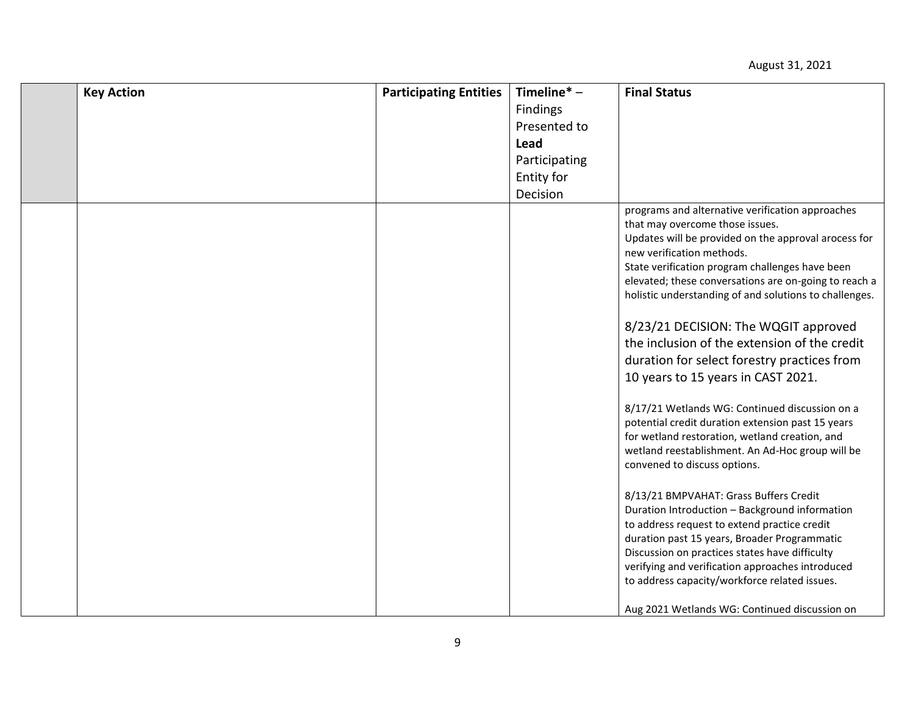| <b>Key Action</b> | <b>Participating Entities</b> | Timeline $* -$ | <b>Final Status</b>                                                                                                                                                                                                                                                                                                                                                                                                                                                                                                                                                                                                                                                                                                                                                                                                                                                                                                                                                                                                                                                                                                         |
|-------------------|-------------------------------|----------------|-----------------------------------------------------------------------------------------------------------------------------------------------------------------------------------------------------------------------------------------------------------------------------------------------------------------------------------------------------------------------------------------------------------------------------------------------------------------------------------------------------------------------------------------------------------------------------------------------------------------------------------------------------------------------------------------------------------------------------------------------------------------------------------------------------------------------------------------------------------------------------------------------------------------------------------------------------------------------------------------------------------------------------------------------------------------------------------------------------------------------------|
|                   |                               | Findings       |                                                                                                                                                                                                                                                                                                                                                                                                                                                                                                                                                                                                                                                                                                                                                                                                                                                                                                                                                                                                                                                                                                                             |
|                   |                               | Presented to   |                                                                                                                                                                                                                                                                                                                                                                                                                                                                                                                                                                                                                                                                                                                                                                                                                                                                                                                                                                                                                                                                                                                             |
|                   |                               | Lead           |                                                                                                                                                                                                                                                                                                                                                                                                                                                                                                                                                                                                                                                                                                                                                                                                                                                                                                                                                                                                                                                                                                                             |
|                   |                               | Participating  |                                                                                                                                                                                                                                                                                                                                                                                                                                                                                                                                                                                                                                                                                                                                                                                                                                                                                                                                                                                                                                                                                                                             |
|                   |                               | Entity for     |                                                                                                                                                                                                                                                                                                                                                                                                                                                                                                                                                                                                                                                                                                                                                                                                                                                                                                                                                                                                                                                                                                                             |
|                   |                               | Decision       |                                                                                                                                                                                                                                                                                                                                                                                                                                                                                                                                                                                                                                                                                                                                                                                                                                                                                                                                                                                                                                                                                                                             |
|                   |                               |                | programs and alternative verification approaches<br>that may overcome those issues.<br>Updates will be provided on the approval arocess for<br>new verification methods.<br>State verification program challenges have been<br>elevated; these conversations are on-going to reach a<br>holistic understanding of and solutions to challenges.<br>8/23/21 DECISION: The WQGIT approved<br>the inclusion of the extension of the credit<br>duration for select forestry practices from<br>10 years to 15 years in CAST 2021.<br>8/17/21 Wetlands WG: Continued discussion on a<br>potential credit duration extension past 15 years<br>for wetland restoration, wetland creation, and<br>wetland reestablishment. An Ad-Hoc group will be<br>convened to discuss options.<br>8/13/21 BMPVAHAT: Grass Buffers Credit<br>Duration Introduction - Background information<br>to address request to extend practice credit<br>duration past 15 years, Broader Programmatic<br>Discussion on practices states have difficulty<br>verifying and verification approaches introduced<br>to address capacity/workforce related issues. |
|                   |                               |                | Aug 2021 Wetlands WG: Continued discussion on                                                                                                                                                                                                                                                                                                                                                                                                                                                                                                                                                                                                                                                                                                                                                                                                                                                                                                                                                                                                                                                                               |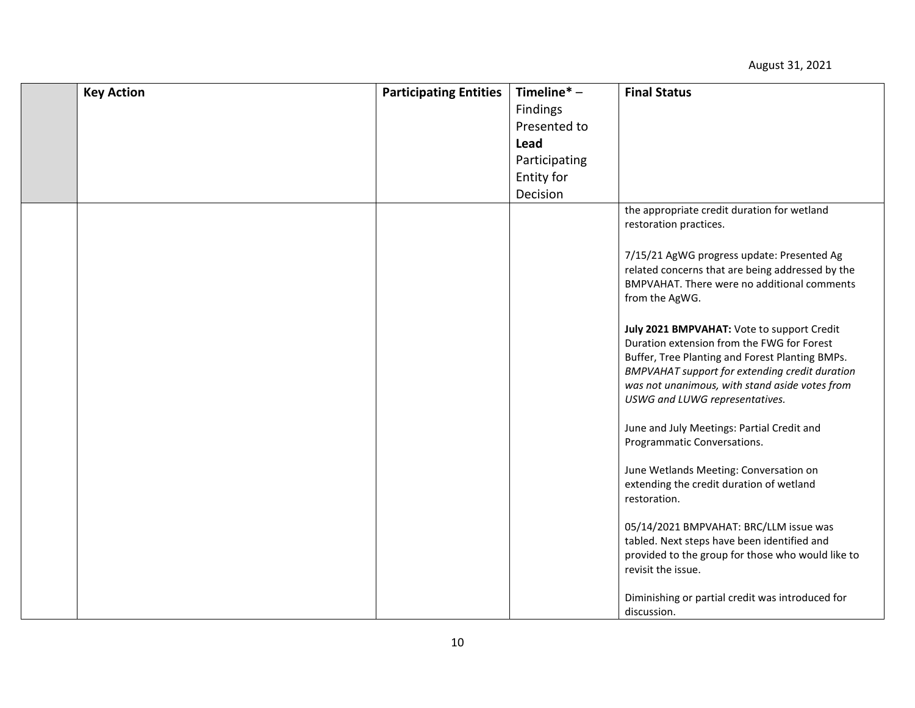| <b>Key Action</b> | <b>Participating Entities</b> | Timeline $* -$ | <b>Final Status</b>                                                                                                                                                                                                                                                                      |
|-------------------|-------------------------------|----------------|------------------------------------------------------------------------------------------------------------------------------------------------------------------------------------------------------------------------------------------------------------------------------------------|
|                   |                               | Findings       |                                                                                                                                                                                                                                                                                          |
|                   |                               | Presented to   |                                                                                                                                                                                                                                                                                          |
|                   |                               | Lead           |                                                                                                                                                                                                                                                                                          |
|                   |                               | Participating  |                                                                                                                                                                                                                                                                                          |
|                   |                               | Entity for     |                                                                                                                                                                                                                                                                                          |
|                   |                               | Decision       |                                                                                                                                                                                                                                                                                          |
|                   |                               |                | the appropriate credit duration for wetland<br>restoration practices.                                                                                                                                                                                                                    |
|                   |                               |                | 7/15/21 AgWG progress update: Presented Ag<br>related concerns that are being addressed by the<br>BMPVAHAT. There were no additional comments<br>from the AgWG.                                                                                                                          |
|                   |                               |                | July 2021 BMPVAHAT: Vote to support Credit<br>Duration extension from the FWG for Forest<br>Buffer, Tree Planting and Forest Planting BMPs.<br><b>BMPVAHAT support for extending credit duration</b><br>was not unanimous, with stand aside votes from<br>USWG and LUWG representatives. |
|                   |                               |                | June and July Meetings: Partial Credit and<br>Programmatic Conversations.                                                                                                                                                                                                                |
|                   |                               |                | June Wetlands Meeting: Conversation on<br>extending the credit duration of wetland<br>restoration.                                                                                                                                                                                       |
|                   |                               |                | 05/14/2021 BMPVAHAT: BRC/LLM issue was<br>tabled. Next steps have been identified and<br>provided to the group for those who would like to<br>revisit the issue.                                                                                                                         |
|                   |                               |                | Diminishing or partial credit was introduced for<br>discussion.                                                                                                                                                                                                                          |